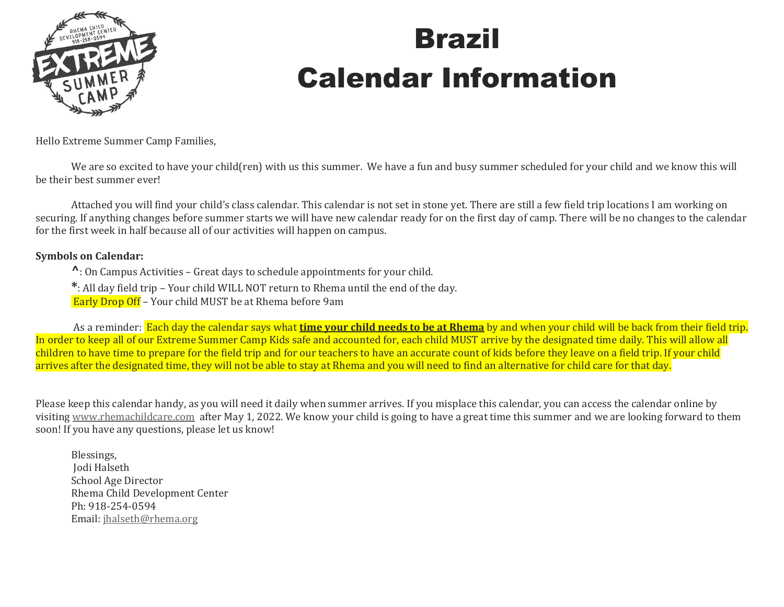

## Brazil Calendar Information

Hello Extreme Summer Camp Families,

We are so excited to have your child(ren) with us this summer. We have a fun and busy summer scheduled for your child and we know this will be their best summer ever!

Attached you will find your child's class calendar. This calendar is not set in stone yet. There are still a few field trip locations I am working on securing. If anything changes before summer starts we will have new calendar ready for on the first day of camp. There will be no changes to the calendar for the first week in half because all of our activities will happen on campus.

#### **Symbols on Calendar:**

**^**: On Campus Activities – Great days to schedule appointments for your child.

**\***: All day field trip – Your child WILL NOT return to Rhema until the end of the day.

Early Drop Off – Your child MUST be at Rhema before 9am

As a reminder: Each day the calendar says what **time your child needs to be at Rhema** by and when your child will be back from their field trip. In order to keep all of our Extreme Summer Camp Kids safe and accounted for, each child MUST arrive by the designated time daily. This will allow all children to have time to prepare for the field trip and for our teachers to have an accurate count of kids before they leave on a field trip. If your child arrives after the designated time, they will not be able to stay at Rhema and you will need to find an alternative for child care for that day.

Please keep this calendar handy, as you will need it daily when summer arrives. If you misplace this calendar, you can access the calendar online by visiting [www.rhemachildcare.com](http://www.rhemachildcare.com/) after May 1, 2022. We know your child is going to have a great time this summer and we are looking forward to them soon! If you have any questions, please let us know!

Blessings, Jodi Halseth School Age Director Rhema Child Development Center Ph: 918-254-0594 Email: [jhalseth@rhema.org](mailto:jhalseth@rhema.org)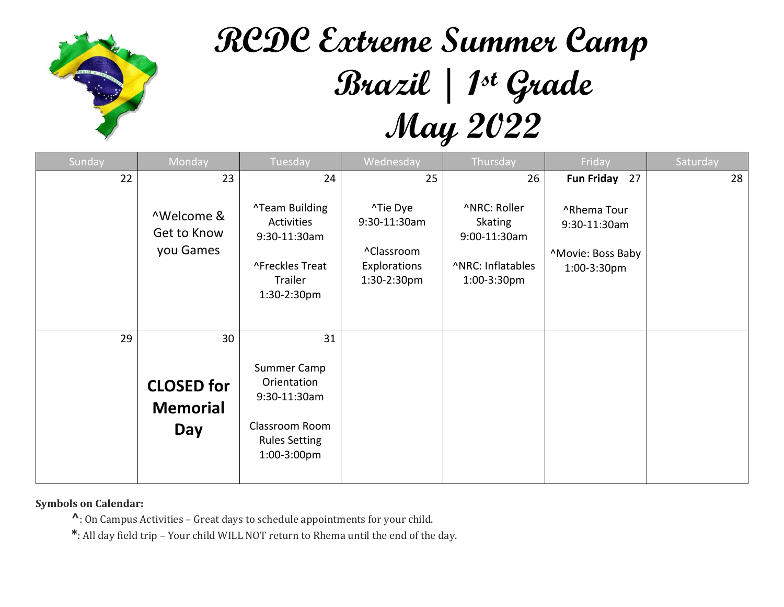

# **RCDC Extreme Summer Camp Brazil | 1 st Grade May 2022**

| Sunday | Monday                                      | Tuesday                                                                                             | Wednesday                                                             | Thursday                                                                                  | Friday                                                          | Saturday |
|--------|---------------------------------------------|-----------------------------------------------------------------------------------------------------|-----------------------------------------------------------------------|-------------------------------------------------------------------------------------------|-----------------------------------------------------------------|----------|
| 22     | 23                                          | 24                                                                                                  | 25                                                                    | 26                                                                                        | Fun Friday 27                                                   | 28       |
|        | ^Welcome &<br>Get to Know<br>you Games      | <b>^Team Building</b><br>Activities<br>9:30-11:30am<br>^Freckles Treat<br>Trailer<br>1:30-2:30pm    | ^Tie Dye<br>9:30-11:30am<br>^Classroom<br>Explorations<br>1:30-2:30pm | ^NRC: Roller<br><b>Skating</b><br>9:00-11:30am<br><b>ANRC: Inflatables</b><br>1:00-3:30pm | ^Rhema Tour<br>9:30-11:30am<br>^Movie: Boss Baby<br>1:00-3:30pm |          |
| 29     | 30                                          | 31                                                                                                  |                                                                       |                                                                                           |                                                                 |          |
|        | <b>CLOSED for</b><br><b>Memorial</b><br>Day | Summer Camp<br>Orientation<br>9:30-11:30am<br>Classroom Room<br><b>Rules Setting</b><br>1:00-3:00pm |                                                                       |                                                                                           |                                                                 |          |

**Symbols on Calendar:** 

**^**: On Campus Activities – Great days to schedule appointments for your child.

**\***: All day field trip – Your child WILL NOT return to Rhema until the end of the day.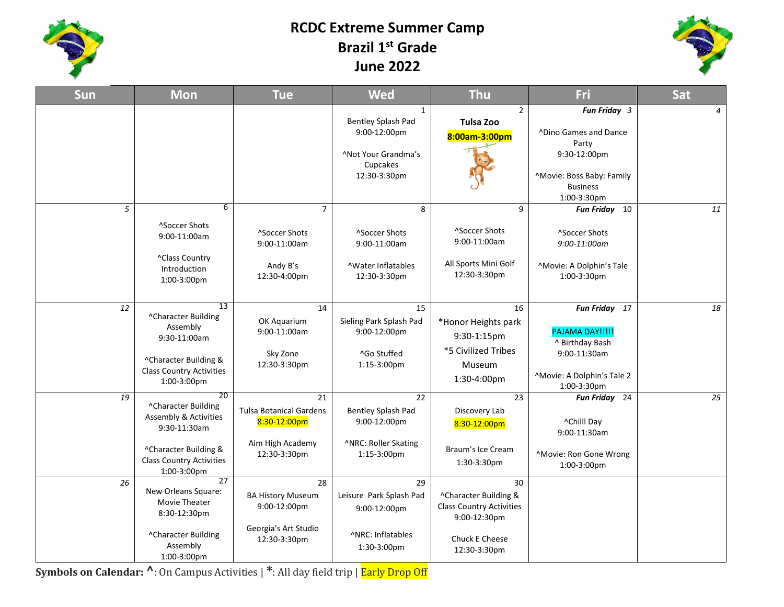

### **RCDC Extreme Summer Camp Brazil 1st Grade June 2022**



| Sun | <b>Mon</b>                                                                                                                                               | <b>Tue</b>                                                                                               | <b>Wed</b>                                                                                                          | <b>Thu</b>                                                                                                       | Fri                                                                                                                                  | <b>Sat</b> |
|-----|----------------------------------------------------------------------------------------------------------------------------------------------------------|----------------------------------------------------------------------------------------------------------|---------------------------------------------------------------------------------------------------------------------|------------------------------------------------------------------------------------------------------------------|--------------------------------------------------------------------------------------------------------------------------------------|------------|
|     |                                                                                                                                                          |                                                                                                          | $\mathbf{1}$<br><b>Bentley Splash Pad</b><br>9:00-12:00pm<br><b>ANot Your Grandma's</b><br>Cupcakes<br>12:30-3:30pm | $\overline{2}$<br><b>Tulsa Zoo</b><br>8:00am-3:00pm                                                              | Fun Friday 3<br><b>ADino Games and Dance</b><br>Party<br>9:30-12:00pm<br>^Movie: Boss Baby: Family<br><b>Business</b><br>1:00-3:30pm | 4          |
| 5   | 6<br>^Soccer Shots<br>9:00-11:00am<br><b>^Class Country</b><br>Introduction<br>1:00-3:00pm                                                               | $\overline{7}$<br><sup>^</sup> Soccer Shots<br>9:00-11:00am<br>Andy B's<br>12:30-4:00pm                  | 8<br>^Soccer Shots<br>9:00-11:00am<br>^Water Inflatables<br>12:30-3:30pm                                            | 9<br>^Soccer Shots<br>9:00-11:00am<br>All Sports Mini Golf<br>12:30-3:30pm                                       | Fun Friday 10<br>^Soccer Shots<br>9:00-11:00am<br>^Movie: A Dolphin's Tale<br>1:00-3:30pm                                            | 11         |
| 12  | $\overline{13}$<br>^Character Building<br>Assembly<br>9:30-11:00am<br>^Character Building &<br><b>Class Country Activities</b><br>1:00-3:00pm            | 14<br>OK Aquarium<br>9:00-11:00am<br>Sky Zone<br>12:30-3:30pm                                            | 15<br>Sieling Park Splash Pad<br>9:00-12:00pm<br>^Go Stuffed<br>$1:15-3:00$ pm                                      | 16<br>*Honor Heights park<br>9:30-1:15pm<br>*5 Civilized Tribes<br>Museum<br>1:30-4:00pm                         | Fun Friday 17<br>PAJAMA DAY!!!!!<br>^ Birthday Bash<br>9:00-11:30am<br>^Movie: A Dolphin's Tale 2<br>1:00-3:30pm                     | 18         |
| 19  | 20<br>^Character Building<br><b>Assembly &amp; Activities</b><br>9:30-11:30am<br>^Character Building &<br><b>Class Country Activities</b><br>1:00-3:00pm | $\overline{21}$<br><b>Tulsa Botanical Gardens</b><br>$8:30-12:00$ pm<br>Aim High Academy<br>12:30-3:30pm | $\overline{22}$<br>Bentley Splash Pad<br>9:00-12:00pm<br>^NRC: Roller Skating<br>$1:15-3:00$ pm                     | 23<br>Discovery Lab<br>8:30-12:00pm<br>Braum's Ice Cream<br>1:30-3:30pm                                          | Fun Friday 24<br>^Chilll Day<br>9:00-11:30am<br>^Movie: Ron Gone Wrong<br>1:00-3:00pm                                                | 25         |
| 26  | 27<br>New Orleans Square:<br>Movie Theater<br>8:30-12:30pm<br>^Character Building<br>Assembly<br>1:00-3:00pm                                             | 28<br><b>BA History Museum</b><br>9:00-12:00pm<br>Georgia's Art Studio<br>12:30-3:30pm                   | 29<br>Leisure Park Splash Pad<br>9:00-12:00pm<br><b>^NRC: Inflatables</b><br>1:30-3:00pm                            | 30<br>^Character Building &<br><b>Class Country Activities</b><br>9:00-12:30pm<br>Chuck E Cheese<br>12:30-3:30pm |                                                                                                                                      |            |

**Symbols on Calendar: ^**: On Campus Activities | **\***: All day field trip | Early Drop Off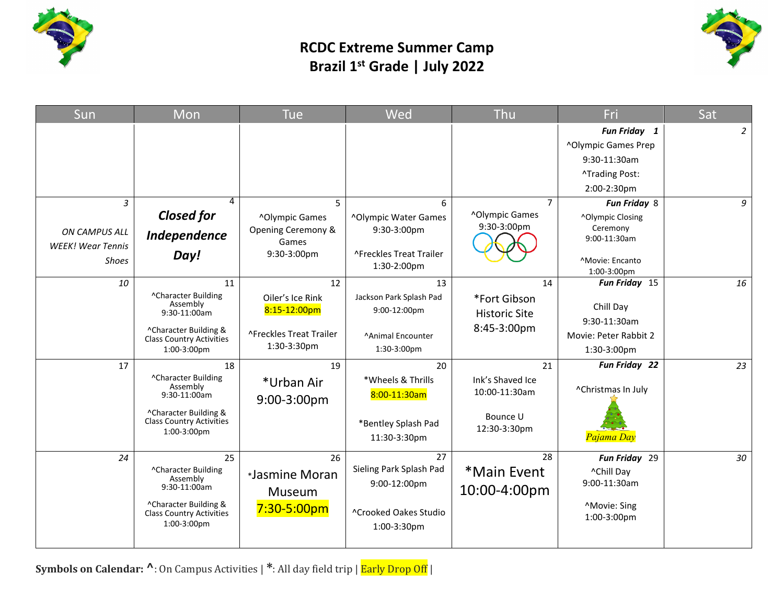

### **RCDC Extreme Summer Camp Brazil 1st Grade | July 2022**



| Sun                                                            | Mon                                                                                                                                | <b>Tue</b>                                                                       | Wed                                                                                       | Thu                                                                 | Fri                                                                                                  | Sat            |
|----------------------------------------------------------------|------------------------------------------------------------------------------------------------------------------------------------|----------------------------------------------------------------------------------|-------------------------------------------------------------------------------------------|---------------------------------------------------------------------|------------------------------------------------------------------------------------------------------|----------------|
|                                                                |                                                                                                                                    |                                                                                  |                                                                                           |                                                                     | Fun Friday 1<br>^Olympic Games Prep<br>9:30-11:30am<br><b>^Trading Post:</b><br>2:00-2:30pm          | $\overline{2}$ |
| 3<br>ON CAMPUS ALL<br><b>WEEK! Wear Tennis</b><br><b>Shoes</b> | 4<br><b>Closed for</b><br>Independence<br>Day!                                                                                     | 5<br>^Olympic Games<br>Opening Ceremony &<br>Games<br>9:30-3:00pm                | 6<br>^Olympic Water Games<br>9:30-3:00pm<br><b>AFreckles Treat Trailer</b><br>1:30-2:00pm | $\overline{7}$<br>^Olympic Games<br>9:30-3:00pm                     | Fun Friday 8<br>^Olympic Closing<br>Ceremony<br>9:00-11:30am<br><b>Movie: Encanto</b><br>1:00-3:00pm | 9              |
| 10                                                             | 11<br>^Character Building<br>Assembly<br>$9:30-11:00am$<br>^Character Building &<br><b>Class Country Activities</b><br>1:00-3:00pm | 12<br>Oiler's Ice Rink<br>8:15-12:00pm<br>^Freckles Treat Trailer<br>1:30-3:30pm | 13<br>Jackson Park Splash Pad<br>9:00-12:00pm<br>^Animal Encounter<br>1:30-3:00pm         | 14<br>*Fort Gibson<br><b>Historic Site</b><br>8:45-3:00pm           | Fun Friday 15<br>Chill Day<br>9:30-11:30am<br>Movie: Peter Rabbit 2<br>1:30-3:00pm                   | 16             |
| 17                                                             | 18<br>^Character Building<br>Assembly<br>9:30-11:00am<br>^Character Building &<br><b>Class Country Activities</b><br>1:00-3:00pm   | 19<br>*Urban Air<br>9:00-3:00pm                                                  | 20<br>*Wheels & Thrills<br>8:00-11:30am<br>*Bentley Splash Pad<br>11:30-3:30pm            | 21<br>Ink's Shaved Ice<br>10:00-11:30am<br>Bounce U<br>12:30-3:30pm | Fun Friday 22<br>^Christmas In July<br>Pajama Day                                                    | 23             |
| 24                                                             | 25<br>^Character Building<br>Assembly<br>$9:30-11:00am$<br>^Character Building &<br><b>Class Country Activities</b><br>1:00-3:00pm | 26<br>*Jasmine Moran<br>Museum<br>$7:30 - 5:00pm$                                | 27<br>Sieling Park Splash Pad<br>9:00-12:00pm<br>^Crooked Oakes Studio<br>1:00-3:30pm     | 28<br>*Main Event<br>10:00-4:00pm                                   | Fun Friday 29<br>^Chill Day<br>9:00-11:30am<br>^Movie: Sing<br>1:00-3:00pm                           | 30             |

**Symbols on Calendar: ^**: On Campus Activities | **\***: All day field trip | Early Drop Off |